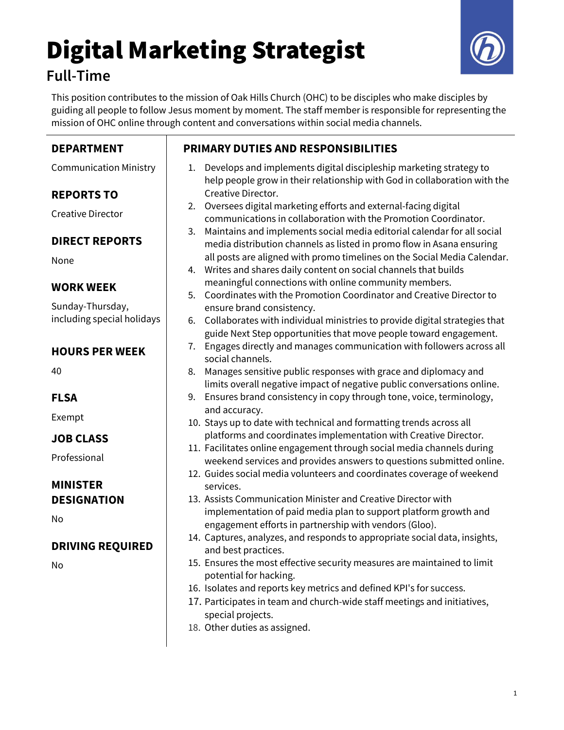## Digital Marketing Strategist Full-Time



This position contributes to the mission of Oak Hills Church (OHC) to be disciples who make disciples by guiding all people to follow Jesus moment by moment. The staff member is responsible for representing the mission of OHC online through content and conversations within social media channels.

| <b>DEPARTMENT</b>             | <b>PRIMARY DUTIES AND RESPONSIBILITIES</b>                                                                                                             |
|-------------------------------|--------------------------------------------------------------------------------------------------------------------------------------------------------|
| <b>Communication Ministry</b> | Develops and implements digital discipleship marketing strategy to<br>1.<br>help people grow in their relationship with God in collaboration with the  |
| <b>REPORTS TO</b>             | Creative Director.                                                                                                                                     |
| <b>Creative Director</b>      | Oversees digital marketing efforts and external-facing digital<br>2.<br>communications in collaboration with the Promotion Coordinator.                |
| <b>DIRECT REPORTS</b>         | Maintains and implements social media editorial calendar for all social<br>3.<br>media distribution channels as listed in promo flow in Asana ensuring |
| None                          | all posts are aligned with promo timelines on the Social Media Calendar.<br>Writes and shares daily content on social channels that builds<br>4.       |
| WORK WEEK                     | meaningful connections with online community members.<br>Coordinates with the Promotion Coordinator and Creative Director to<br>5.                     |
| Sunday-Thursday,              | ensure brand consistency.                                                                                                                              |
| including special holidays    | Collaborates with individual ministries to provide digital strategies that<br>6.<br>guide Next Step opportunities that move people toward engagement.  |
| <b>HOURS PER WEEK</b>         | Engages directly and manages communication with followers across all<br>7.<br>social channels.                                                         |
| 40                            | Manages sensitive public responses with grace and diplomacy and<br>8.<br>limits overall negative impact of negative public conversations online.       |
| <b>FLSA</b>                   | Ensures brand consistency in copy through tone, voice, terminology,<br>9.                                                                              |
| Exempt                        | and accuracy.<br>10. Stays up to date with technical and formatting trends across all                                                                  |
| <b>JOB CLASS</b>              | platforms and coordinates implementation with Creative Director.                                                                                       |
| Professional                  | 11. Facilitates online engagement through social media channels during<br>weekend services and provides answers to questions submitted online.         |
|                               | 12. Guides social media volunteers and coordinates coverage of weekend                                                                                 |
| <b>MINISTER</b>               | services.                                                                                                                                              |
| <b>DESIGNATION</b>            | 13. Assists Communication Minister and Creative Director with                                                                                          |
| No                            | implementation of paid media plan to support platform growth and<br>engagement efforts in partnership with vendors (Gloo).                             |
| <b>DRIVING REQUIRED</b>       | 14. Captures, analyzes, and responds to appropriate social data, insights,<br>and best practices.                                                      |
| No                            | 15. Ensures the most effective security measures are maintained to limit<br>potential for hacking.                                                     |
|                               | 16. Isolates and reports key metrics and defined KPI's for success.                                                                                    |
|                               | 17. Participates in team and church-wide staff meetings and initiatives,<br>special projects.                                                          |
|                               | 18. Other duties as assigned.                                                                                                                          |
|                               |                                                                                                                                                        |